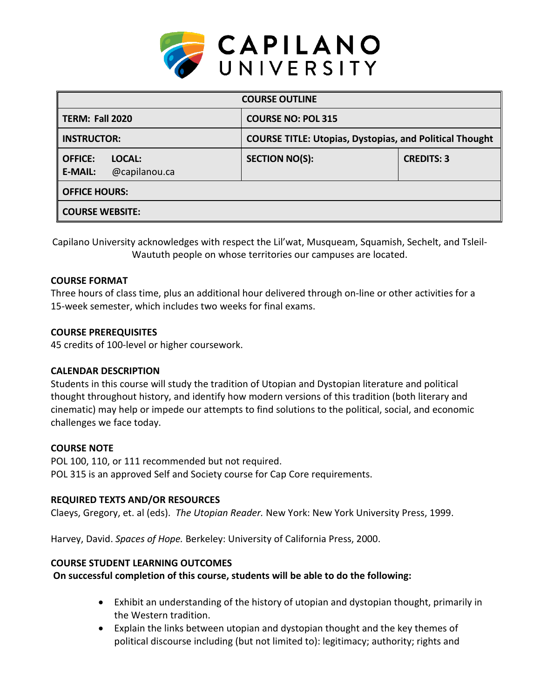

| <b>COURSE OUTLINE</b>                                       |                                                                |                   |  |  |  |
|-------------------------------------------------------------|----------------------------------------------------------------|-------------------|--|--|--|
| TERM: Fall 2020                                             | <b>COURSE NO: POL 315</b>                                      |                   |  |  |  |
| <b>INSTRUCTOR:</b>                                          | <b>COURSE TITLE: Utopias, Dystopias, and Political Thought</b> |                   |  |  |  |
| <b>OFFICE:</b><br>LOCAL:<br>@capilanou.ca<br><b>E-MAIL:</b> | <b>SECTION NO(S):</b>                                          | <b>CREDITS: 3</b> |  |  |  |
| <b>OFFICE HOURS:</b>                                        |                                                                |                   |  |  |  |
| <b>COURSE WEBSITE:</b>                                      |                                                                |                   |  |  |  |

Capilano University acknowledges with respect the Lil'wat, Musqueam, Squamish, Sechelt, and Tsleil-Waututh people on whose territories our campuses are located.

### **COURSE FORMAT**

Three hours of class time, plus an additional hour delivered through on-line or other activities for a 15-week semester, which includes two weeks for final exams.

### **COURSE PREREQUISITES**

45 credits of 100-level or higher coursework.

## **CALENDAR DESCRIPTION**

Students in this course will study the tradition of Utopian and Dystopian literature and political thought throughout history, and identify how modern versions of this tradition (both literary and cinematic) may help or impede our attempts to find solutions to the political, social, and economic challenges we face today.

#### **COURSE NOTE**

POL 100, 110, or 111 recommended but not required. POL 315 is an approved Self and Society course for Cap Core requirements.

#### **REQUIRED TEXTS AND/OR RESOURCES**

Claeys, Gregory, et. al (eds). *The Utopian Reader.* New York: New York University Press, 1999.

Harvey, David. *Spaces of Hope.* Berkeley: University of California Press, 2000.

#### **COURSE STUDENT LEARNING OUTCOMES**

## **On successful completion of this course, students will be able to do the following:**

- Exhibit an understanding of the history of utopian and dystopian thought, primarily in the Western tradition.
- Explain the links between utopian and dystopian thought and the key themes of political discourse including (but not limited to): legitimacy; authority; rights and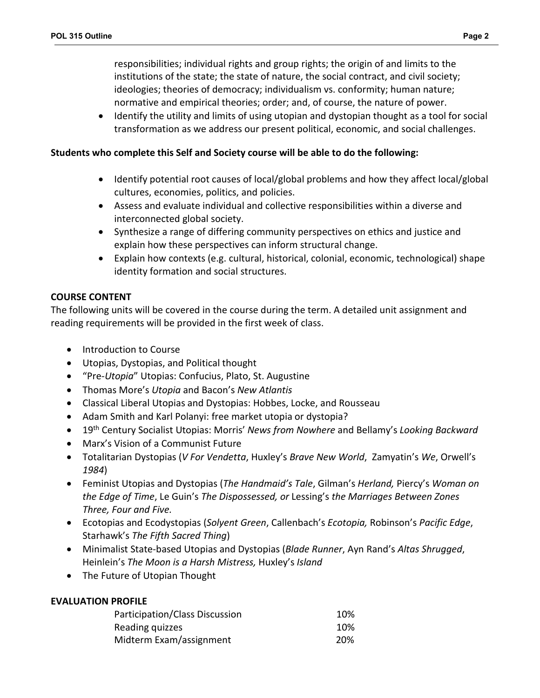responsibilities; individual rights and group rights; the origin of and limits to the institutions of the state; the state of nature, the social contract, and civil society; ideologies; theories of democracy; individualism vs. conformity; human nature; normative and empirical theories; order; and, of course, the nature of power.

• Identify the utility and limits of using utopian and dystopian thought as a tool for social transformation as we address our present political, economic, and social challenges.

## **Students who complete this Self and Society course will be able to do the following:**

- Identify potential root causes of local/global problems and how they affect local/global cultures, economies, politics, and policies.
- Assess and evaluate individual and collective responsibilities within a diverse and interconnected global society.
- Synthesize a range of differing community perspectives on ethics and justice and explain how these perspectives can inform structural change.
- Explain how contexts (e.g. cultural, historical, colonial, economic, technological) shape identity formation and social structures.

# **COURSE CONTENT**

The following units will be covered in the course during the term. A detailed unit assignment and reading requirements will be provided in the first week of class.

- Introduction to Course
- Utopias, Dystopias, and Political thought
- "Pre-*Utopia*" Utopias: Confucius, Plato, St. Augustine
- Thomas More's *Utopia* and Bacon's *New Atlantis*
- Classical Liberal Utopias and Dystopias: Hobbes, Locke, and Rousseau
- Adam Smith and Karl Polanyi: free market utopia or dystopia?
- 19th Century Socialist Utopias: Morris' *News from Nowhere* and Bellamy's *Looking Backward*
- Marx's Vision of a Communist Future
- Totalitarian Dystopias (*V For Vendetta*, Huxley's *Brave New World*, Zamyatin's *We*, Orwell's *1984*)
- Feminist Utopias and Dystopias (*The Handmaid's Tale*, Gilman's *Herland,* Piercy's *Woman on the Edge of Time*, Le Guin's *The Dispossessed, or* Lessing's *the Marriages Between Zones Three, Four and Five.*
- Ecotopias and Ecodystopias (*Solyent Green*, Callenbach's *Ecotopia,* Robinson's *Pacific Edge*, Starhawk's *The Fifth Sacred Thing*)
- Minimalist State-based Utopias and Dystopias (*Blade Runner*, Ayn Rand's *Altas Shrugged*, Heinlein's *The Moon is a Harsh Mistress,* Huxley's *Island*
- The Future of Utopian Thought

## **EVALUATION PROFILE**

| Participation/Class Discussion | 10% |
|--------------------------------|-----|
| Reading quizzes                | 10% |
| Midterm Exam/assignment        | 20% |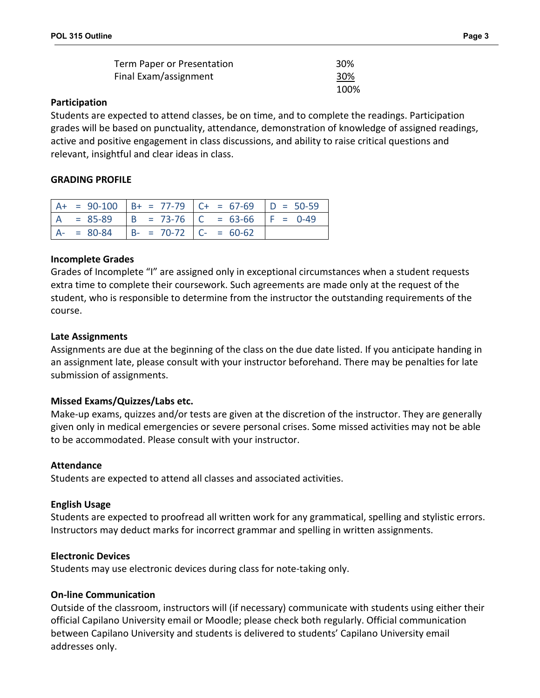| Term Paper or Presentation | 30%  |
|----------------------------|------|
| Final Exam/assignment      | 30%  |
|                            | 100% |

### **Participation**

Students are expected to attend classes, be on time, and to complete the readings. Participation grades will be based on punctuality, attendance, demonstration of knowledge of assigned readings, active and positive engagement in class discussions, and ability to raise critical questions and relevant, insightful and clear ideas in class.

## **GRADING PROFILE**

|               |                           | $A+ = 90-100$ $B+ = 77-79$ $C+ = 67-69$ $D = 50-59$ |  |
|---------------|---------------------------|-----------------------------------------------------|--|
|               |                           | $A = 85-89$ $B = 73-76$ $C = 63-66$ $F = 0-49$      |  |
| $A - = 80-84$ | $B- = 70-72$ $C- = 60-62$ |                                                     |  |

### **Incomplete Grades**

Grades of Incomplete "I" are assigned only in exceptional circumstances when a student requests extra time to complete their coursework. Such agreements are made only at the request of the student, who is responsible to determine from the instructor the outstanding requirements of the course.

## **Late Assignments**

Assignments are due at the beginning of the class on the due date listed. If you anticipate handing in an assignment late, please consult with your instructor beforehand. There may be penalties for late submission of assignments.

## **Missed Exams/Quizzes/Labs etc.**

Make-up exams, quizzes and/or tests are given at the discretion of the instructor. They are generally given only in medical emergencies or severe personal crises. Some missed activities may not be able to be accommodated. Please consult with your instructor.

#### **Attendance**

Students are expected to attend all classes and associated activities.

## **English Usage**

Students are expected to proofread all written work for any grammatical, spelling and stylistic errors. Instructors may deduct marks for incorrect grammar and spelling in written assignments.

#### **Electronic Devices**

Students may use electronic devices during class for note-taking only.

## **On-line Communication**

Outside of the classroom, instructors will (if necessary) communicate with students using either their official Capilano University email or Moodle; please check both regularly. Official communication between Capilano University and students is delivered to students' Capilano University email addresses only.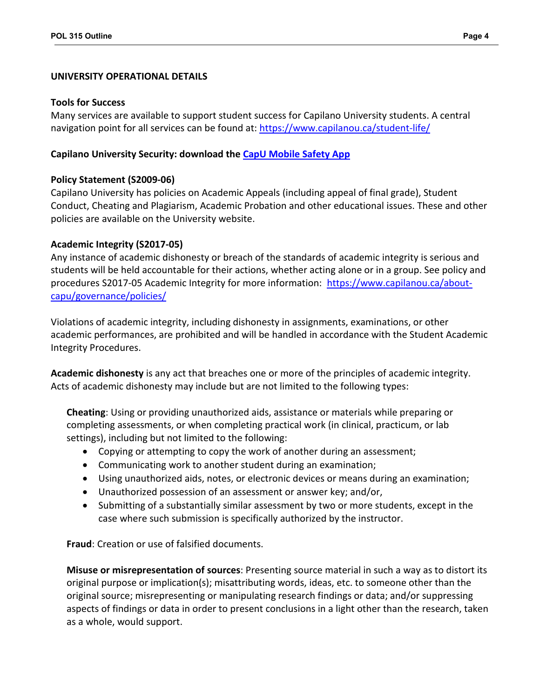### **UNIVERSITY OPERATIONAL DETAILS**

#### **Tools for Success**

Many services are available to support student success for Capilano University students. A central navigation point for all services can be found at:<https://www.capilanou.ca/student-life/>

### **Capilano University Security: download the [CapU Mobile Safety App](https://www.capilanou.ca/services/safety-security/CapU-Mobile-Safety-App/)**

## **Policy Statement (S2009-06)**

Capilano University has policies on Academic Appeals (including appeal of final grade), Student Conduct, Cheating and Plagiarism, Academic Probation and other educational issues. These and other policies are available on the University website.

### **Academic Integrity (S2017-05)**

Any instance of academic dishonesty or breach of the standards of academic integrity is serious and students will be held accountable for their actions, whether acting alone or in a group. See policy and procedures S2017-05 Academic Integrity for more information: [https://www.capilanou.ca/about](https://www.capilanou.ca/about-capu/governance/policies/)[capu/governance/policies/](https://www.capilanou.ca/about-capu/governance/policies/)

Violations of academic integrity, including dishonesty in assignments, examinations, or other academic performances, are prohibited and will be handled in accordance with the Student Academic Integrity Procedures.

**Academic dishonesty** is any act that breaches one or more of the principles of academic integrity. Acts of academic dishonesty may include but are not limited to the following types:

**Cheating**: Using or providing unauthorized aids, assistance or materials while preparing or completing assessments, or when completing practical work (in clinical, practicum, or lab settings), including but not limited to the following:

- Copying or attempting to copy the work of another during an assessment;
- Communicating work to another student during an examination;
- Using unauthorized aids, notes, or electronic devices or means during an examination;
- Unauthorized possession of an assessment or answer key; and/or,
- Submitting of a substantially similar assessment by two or more students, except in the case where such submission is specifically authorized by the instructor.

**Fraud**: Creation or use of falsified documents.

**Misuse or misrepresentation of sources**: Presenting source material in such a way as to distort its original purpose or implication(s); misattributing words, ideas, etc. to someone other than the original source; misrepresenting or manipulating research findings or data; and/or suppressing aspects of findings or data in order to present conclusions in a light other than the research, taken as a whole, would support.